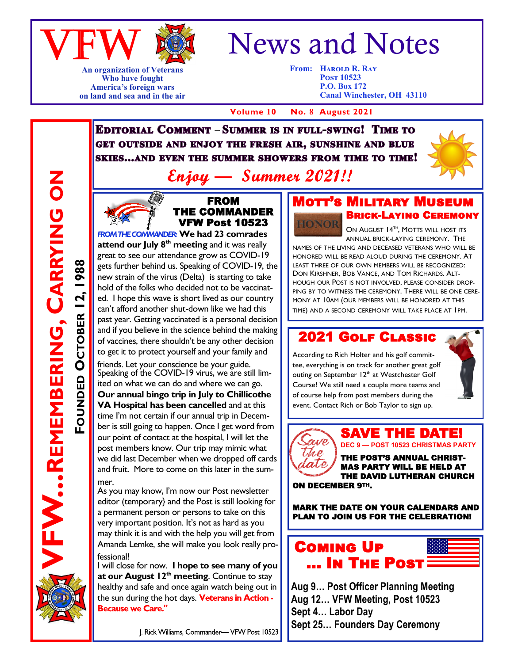

**An organization of Veterans Who have fought America's foreign wars on land and sea and in the air**

# News and Notes

**From: Harold R. Ray Post 10523 P.O. Box 172 Canal Winchester, OH 43110**

 **Volume 10 No. 8 August 2021**

**EDITORIAL COMMENT - SUMMER IS IN FULL-SWING! TIME TO** GET OUTSIDE AND ENJOY THE FRESH AIR, SUNSHINE AND BLUE **SKIES...AND EVEN THE SUMMER SHOWERS FROM TIME TO TIME!** 



- Summer 2021!! Enjou -



FW...REMEMBERING, CARRYING ON

**FOUNDED**

**OCTOBER 12, 1988**

OCTOBER 12,

1988

**REMEMBERING, CARRYING ON**

FROM THE COMMANDER VFW Post 10523 **ROM THE COMMANDER: We had 23 comrades** 

**attend our July 8th meeting** and it was really great to see our attendance grow as COVID-19 gets further behind us. Speaking of COVID-19, the new strain of the virus (Delta) is starting to take hold of the folks who decided not to be vaccinated. I hope this wave is short lived as our country can't afford another shut-down like we had this past year. Getting vaccinated is a personal decision and if you believe in the science behind the making of vaccines, there shouldn't be any other decision to get it to protect yourself and your family and friends. Let your conscience be your guide. Speaking of the COVID-19 virus, we are still limited on what we can do and where we can go. **Our annual bingo trip in July to Chillicothe VA Hospital has been cancelled** and at this time I'm not certain if our annual trip in December is still going to happen. Once I get word from our point of contact at the hospital, I will let the post members know. Our trip may mimic what we did last December when we dropped off cards and fruit. More to come on this later in the summer.

As you may know, I'm now our Post newsletter editor (temporary} and the Post is still looking for a permanent person or persons to take on this very important position. It's not as hard as you may think it is and with the help you will get from Amanda Lemke, she will make you look really professional!

I will close for now. **I hope to see many of you at our August 12th meeting**. Continue to stay healthy and safe and once again watch being out in the sun during the hot days. Veterans in Action -**Because we Care."** 

#### **MOTT'S MILITARY MU** Brick-Laying Ceremony HONOR

ON AUGUST 14<sup>TH</sup>, MOTTS WILL HOST ITS ANNUAL BRICK-LAYING CEREMONY. THE

NAMES OF THE LIVING AND DECEASED VETERANS WHO WILL BE HONORED WILL BE READ ALOUD DURING THE CEREMONY. AT LEAST THREE OF OUR OWN MEMBERS WILL BE RECOGNIZED: DON KIRSHNER, BOB VANCE, AND TOM RICHARDS. ALT-HOUGH OUR POST IS NOT INVOLVED, PLEASE CONSIDER DROP-PING BY TO WITNESS THE CEREMONY. THERE WILL BE ONE CERE-MONY AT 10AM (OUR MEMBERS WILL BE HONORED AT THIS TIME) AND A SECOND CEREMONY WILL TAKE PLACE AT 1PM.

#### 2021 Golf Classic

According to Rich Holter and his golf committee, everything is on track for another great golf outing on September 12<sup>th</sup> at Westchester Golf Course! We still need a couple more teams and of course help from post members during the event. Contact Rich or Bob Taylor to sign up.



## asie Une

**DEC 9 — POST 10523 CHRISTMAS PARTY** THE POST'S ANNUAL CHRIST-MAS PARTY WILL BE HELD AT THE DAVID LUTHERAN CHURCH

SAVE THE DATI

ON DECEMBER 9TH.

MARK THE DATE ON YOUR CALENDARS AND PLAN TO JOIN US FOR THE CELEBRATION!



**Aug 9… Post Officer Planning Meeting Aug 12… VFW Meeting, Post 10523 Sept 4… Labor Day Sept 25… Founders Day Ceremony**